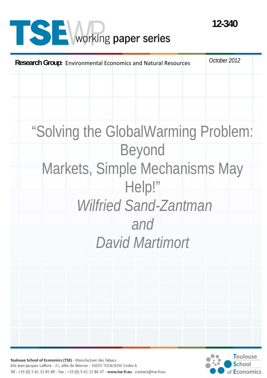# **SE** working paper series



Toulouse School of Economics (TSE) - Manufacture des Tabacs Aile Jean-Jacques Laffont - 21, allée de Brienne - 31015 TOULOUSE Cedex 6 Tél: +33 (0) 5 61 12 85 89 - Fax: +33 (0) 5 61 12 86 37 - www.tse-fr.eu - contact@tse-fr.eu

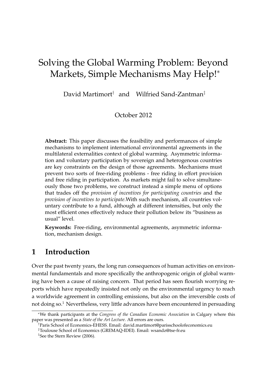## Solving the Global Warming Problem: Beyond Markets, Simple Mechanisms May Help!<sup>∗</sup>

David Martimort<sup>†</sup> and Wilfried Sand-Zantman<sup>‡</sup>

October 2012

**Abstract:** This paper discusses the feasibility and performances of simple mechanisms to implement international environmental agreements in the multilateral externalities context of global warming. Asymmetric information and voluntary participation by sovereign and heterogenous countries are key constraints on the design of those agreements. Mechanisms must prevent two sorts of free-riding problems - free riding in effort provision and free riding in participation. As markets might fail to solve simultaneously those two problems, we construct instead a simple menu of options that trades off the *provision of incentives for participating countries* and the *provision of incentives to participate*.With such mechanism, all countries voluntary contribute to a fund, although at different intensities, but only the most efficient ones effectively reduce their pollution below its "business as usual" level.

**Keywords:** Free-riding, environmental agreements, asymmetric information, mechanism design.

### **1 Introduction**

Over the past twenty years, the long run consequences of human activities on environmental fundamentals and more specifically the anthropogenic origin of global warming have been a cause of raising concern. That period has seen flourish worrying reports which have repeatedly insisted not only on the environmental urgency to reach a worldwide agreement in controlling emissions, but also on the irreversible costs of not doing so.<sup>1</sup> Nevertheless, very little advances have been encountered in persuading

<sup>∗</sup>We thank participants at the *Congress of the Canadian Economic Association* in Calgary where this paper was presented as a *State of the Art Lecture*. All errors are ours.

<sup>†</sup>Paris School of Economics-EHESS. Email: david.martimort@parisschoolofeconomics.eu

<sup>‡</sup>Toulouse School of Economics (GREMAQ-IDEI). Email: wsandz@tse-fr.eu

<sup>&</sup>lt;sup>1</sup>See the Stern Review (2006).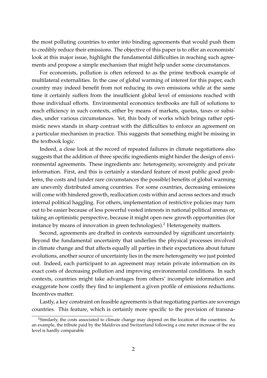the most polluting countries to enter into binding agreements that would push them to credibly reduce their emissions. The objective of this paper is to offer an economists' look at this major issue, highlight the fundamental difficulties in reaching such agreements and propose a simple mechanism that might help under some circumstances.

For economists, pollution is often refereed to as the prime textbook example of multilateral externalities. In the case of global warming of interest for this paper, each country may indeed benefit from not reducing its own emissions while at the same time it certainly suffers from the insufficient global level of emissions reached with those individual efforts. Environmental economics textbooks are full of solutions to reach efficiency in such contexts, either by means of markets, quotas, taxes or subsidies, under various circumstances. Yet, this body of works which brings rather optimistic news stands in sharp contrast with the difficulties to enforce an agreement on a particular mechanism in practice. This suggests that something might be missing in the textbook logic.

Indeed, a close look at the record of repeated failures in climate negotiations also suggests that the addition of three specific ingredients might hinder the design of environmental agreements. These ingredients are: heterogeneity, sovereignty and private information. First, and this is certainly a standard feature of most public good problems, the costs and (under rare circumstances the possible) benefits of global warming are unevenly distributed among countries. For some countries, decreasing emissions will come with hindered growth, reallocation costs within and across sectors and much internal political haggling. For others, implementation of restrictive policies may turn out to be easier because of less powerful vested interests in national political arenas or, taking an optimistic perspective, because it might open new growth opportunities (for instance by means of innovation in green technologies).<sup>2</sup> Heterogeneity matters.

Second, agreements are drafted in contexts surrounded by significant uncertainty. Beyond the fundamental uncertainty that underlies the physical processes involved in climate change and that affects equally all parties in their expectations about future evolutions, another source of uncertainty lies in the mere heterogeneity we just pointed out. Indeed, each participant to an agreement may retain private information on its exact costs of decreasing pollution and improving environmental conditions. In such contexts, countries might take advantages from others' incomplete information and exaggerate how costly they find to implement a given profile of emissions reductions. Incentives matter.

Lastly, a key constraint on feasible agreements is that negotiating parties are sovereign countries. This feature, which is certainly more specific to the provision of transna-

<sup>&</sup>lt;sup>2</sup>Similarly, the costs associated to climate change may depend on the location of the countries. As an example, the tribute paid by the Maldives and Switzerland following a one meter increase of the sea level is hardly comparable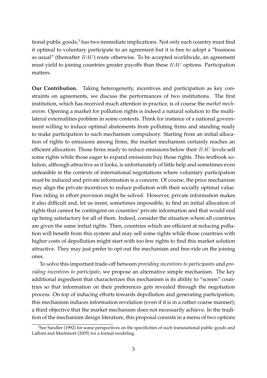tional public goods, $3$  has two immediate implications. Not only each country must find it optimal to voluntary participate to an agreement but it is free to adopt a "business as usual" (thereafter  $BAU$ ) route otherwise. To be accepted worldwide, an agreement must yield to joining countries greater payoffs than these BAU options. Participation matters.

**Our Contribution.** Taking heterogeneity, incentives and participation as key constraints on agreements, we discuss the performances of two institutions. The first institution, which has received much attention in practice, is of course the *market mechanism*. Opening a market for pollution rights is indeed a natural solution to the multilateral externalities problem in some contexts. Think for instance of a national government willing to induce optimal abatements from polluting firms and standing ready to make participation to such mechanism compulsory. Starting from an initial allocation of rights to emissions among firms, the market mechanism certainly reaches an efficient allocation. Those firms ready to reduce emissions below their BAU levels sell some rights while those eager to expand emissions buy those rights. This textbook solution, although attractive as it looks, is unfortunately of little help and sometimes even unfeasible in the contexts of international negotiations where voluntary participation must be induced and private information is a concern. Of course, the price mechanism may align the private incentives to reduce pollution with their socially optimal value. Free riding in effort provision might be solved. However, private information makes it also difficult and, let us insist, sometimes impossible, to find an initial allocation of rights that cannot be contingent on countries' private information and that would end up being satisfactory for all of them. Indeed, consider the situation where all countries are given the same initial rights. Then, countries which are efficient at reducing pollution will benefit from this system and may sell some rights while those countries with higher costs of depollution might start with too few rights to find this market solution attractive. They may just prefer to opt out the mechanism and free-ride on the joining ones.

To solve this important trade-off between *providing incentives to participants* and *providing incentives to participate*, we propose an alternative simple mechanism. The key additional ingredient that characterizes this mechanism is its ability to "screen" countries so that information on their preferences gets revealed through the negotiation process. On top of inducing efforts towards depollution and generating participation, this mechanism induces information revelation (even if it is in a rather coarse manner); a third objective that the market mechanism does not necessarily achieve. In the tradition of the mechanism design literature, this proposal consists in a menu of two options

 $3$ See Sandler (1992) for some perspectives on the specificities of such transnational public goods and Laffont and Martimort (2005) for a formal modeling.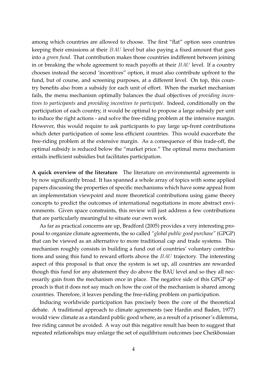among which countries are allowed to choose. The first "flat" option sees countries keeping their emissions at their BAU level but also paying a fixed amount that goes into a *green fund*. That contribution makes those countries indifferent between joining in or breaking the whole agreement to reach payoffs at their  $BAU$  level. If a country chooses instead the second 'incentives" option, it must also contribute upfront to the fund, but of course, and screening purposes, at a different level. On top, this country benefits also from a subsidy for each unit of effort. When the market mechanism fails, the menu mechanism optimally balances the dual objectives of *providing incentives to participants* and *providing incentives to participate*. Indeed, conditionally on the participation of each country, it would be optimal to propose a large subsidy per unit to induce the right actions - and solve the free-riding problem at the intensive margin. However, this would require to ask participants to pay large up-front contributions which deter participation of some less efficient countries. This would exacerbate the free-riding problem at the extensive margin. As a consequence of this trade-off, the optimal subsidy is reduced below the "market price." The optimal menu mechanism entails inefficient subsidies but facilitates participation.

**A quick overview of the literature** The literature on environmental agreements is by now significantly broad. It has spanned a whole array of topics with some applied papers discussing the properties of specific mechanisms which have some appeal from an implementation viewpoint and more theoretical contributions using game theory concepts to predict the outcomes of international negotiations in more abstract environments. Given space constraints, this review will just address a few contributions that are particularly meaningful to situate our own work.

As far as practical concerns are up, Bradford (2005) provides a very interesting proposal to organize climate agreements, the so called *"global public good purchase"* (GPGP) that can be viewed as an alternative to more traditional cap and trade systems. This mechanism roughly consists in building a fund out of countries' voluntary contributions and using this fund to reward efforts above the BAU trajectory. The interesting aspect of this proposal is that once the system is set up, all countries are rewarded though this fund for any abatement they do above the BAU level and so they all necessarily gain from the mechanism once in place. The negative side of this GPGP approach is that it does not say much on how the cost of the mechanism is shared among countries. Therefore, it leaves pending the free-riding problem on participation.

Inducing worldwide participation has precisely been the core of the theoretical debate. A traditional approach to climate agreements (see Hardin and Baden, 1977) would view climate as a standard public good where, as a result of a prisoner's dilemma, free riding cannot be avoided. A way out this negative result has been to suggest that repeated relationships may enlarge the set of equilibrium outcomes (see Cheikbossian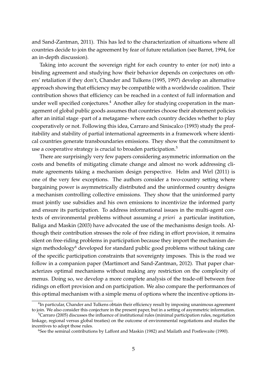and Sand-Zantman, 2011). This has led to the characterization of situations where all countries decide to join the agreement by fear of future retaliation (see Barret, 1994, for an in-depth discussion).

Taking into account the sovereign right for each country to enter (or not) into a binding agreement and studying how their behavior depends on conjectures on others' retaliation if they don't, Chander and Tulkens (1995, 1997) develop an alternative approach showing that efficiency may be compatible with a worldwide coalition. Their contribution shows that efficiency can be reached in a context of full information and under well specified conjectures.<sup>4</sup> Another alley for studying cooperation in the management of global public goods assumes that countries choose their abatement policies after an initial stage -part of a metagame- where each country decides whether to play cooperatively or not. Following this idea, Carraro and Siniscalco (1993) study the profitability and stability of partial international agreements in a framework where identical countries generate transboundaries emissions. They show that the commitment to use a cooperative strategy is crucial to broaden participation.<sup>5</sup>

There are surprisingly very few papers considering asymmetric information on the costs and benefits of mitigating climate change and almost no work addressing climate agreements taking a mechanism design perspective. Helm and Wirl (2011) is one of the very few exceptions. The authors consider a two-country setting where bargaining power is asymmetrically distributed and the uninformed country designs a mechanism controlling collective emissions. They show that the uninformed party must jointly use subsidies and his own emissions to incentivize the informed party and ensure its participation. To address informational issues in the multi-agent contexts of environmental problems without assuming *a priori* a particular institution, Baliga and Maskin (2003) have advocated the use of the mechanisms design tools. Although their contribution stresses the role of free riding in effort provision, it remains silent on free-riding problems in participation because they import the mechanism design methodology<sup>6</sup> developed for standard public good problems without taking care of the specific participation constraints that sovereignty imposes. This is the road we follow in a companion paper (Martimort and Sand-Zantman, 2012). That paper characterizes optimal mechanisms without making any restriction on the complexity of menus. Doing so, we develop a more complete analysis of the trade-off between free ridings on effort provision and on participation. We also compare the performances of this optimal mechanism with a simple menu of options where the incentive options in-

 ${}^{4}$ In particular, Chander and Tulkens obtain their efficiency result by imposing unanimous agreement to join. We also consider this conjecture in the present paper, but in a setting of asymmetric information.

<sup>&</sup>lt;sup>5</sup>Carraro (2005) discusses the influence of institutional rules (minimal participation rules, negotiation linkage, regional versus global treaties) on the outcome of environmental negotiations and studies the incentives to adopt those rules.

<sup>6</sup>See the seminal contributions by Laffont and Maskin (1982) and Mailath and Postlewaite (1990).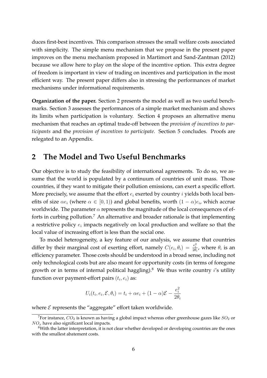duces first-best incentives. This comparison stresses the small welfare costs associated with simplicity. The simple menu mechanism that we propose in the present paper improves on the menu mechanism proposed in Martimort and Sand-Zantman (2012) because we allow here to play on the slope of the incentive option. This extra degree of freedom is important in view of trading on incentives and participation in the most efficient way. The present paper differs also in stressing the performances of market mechanisms under informational requirements.

**Organization of the paper.** Section 2 presents the model as well as two useful benchmarks. Section 3 assesses the performances of a simple market mechanism and shows its limits when participation is voluntary. Section 4 proposes an alternative menu mechanism that reaches an optimal trade-off between the *provision of incentives to participants* and the *provision of incentives to participate*. Section 5 concludes. Proofs are relegated to an Appendix.

#### **2 The Model and Two Useful Benchmarks**

Our objective is to study the feasibility of international agreements. To do so, we assume that the world is populated by a continuum of countries of unit mass. Those countries, if they want to mitigate their pollution emissions, can exert a specific effort. More precisely, we assume that the effort  $e_i$  exerted by country *i* yields both local benefits of size  $\alpha e_i$  (where  $\alpha \in [0,1)$ ) and global benefits, worth  $(1-\alpha)e_i$ , which accrue worldwide. The parameter  $\alpha$  represents the magnitude of the local consequences of efforts in curbing pollution.<sup>7</sup> An alternative and broader rationale is that implementing a restrictive policy  $e_i$  impacts negatively on local production and welfare so that the local value of increasing effort is less than the social one.

To model heterogeneity, a key feature of our analysis, we assume that countries differ by their marginal cost of exerting effort, namely  $C(e_i, \theta_i) = \frac{e_i^2}{2\theta_i}$ , where  $\theta_i$  is an efficiency parameter. Those costs should be understood in a broad sense, including not only technological costs but are also meant for opportunity costs (in terms of foregone growth or in terms of internal political haggling).<sup>8</sup> We thus write country  $i$ 's utility function over payment-effort pairs  $(t_i, e_i)$  as:

$$
U_i(t_i, e_i, \mathcal{E}, \theta_i) = t_i + \alpha e_i + (1 - \alpha)\mathcal{E} - \frac{e_i^2}{2\theta_i}
$$

where  $\mathcal E$  represents the "aggregate" effort taken worldwide.

<sup>&</sup>lt;sup>7</sup>For instance,  $CO_2$  is known as having a global impact whereas other greenhouse gazes like  $SO_2$  or  $NO<sub>x</sub>$  have also significant local impacts.

 $8$ With the latter interpretation, it is not clear whether developed or developing countries are the ones with the smallest abatement costs.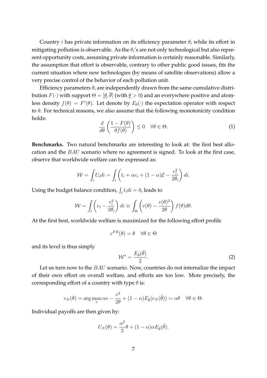Country *i* has private information on its efficiency parameter  $\theta_i$  while its effort in mitigating pollution is observable. As the  $\theta_i$ 's are not only technological but also represent opportunity costs, assuming private information is certainly reasonable. Similarly, the assumption that effort is observable, contrary to other public good issues, fits the current situation where new technologies (by means of satellite observations) allow a very precise control of the behavior of each pollution unit.

Efficiency parameters  $\theta_i$  are independently drawn from the same cumulative distribution  $F(\cdot)$  with support  $\Theta = [\theta, \overline{\theta}]$  (with  $\theta > 0$ ) and an everywhere positive and atomless density  $f(\theta) = F'(\theta)$ . Let denote by  $E_{\theta}(\cdot)$  the expectation operator with respect to  $\theta$ . For technical reasons, we also assume that the following monotonicity condition holds:

$$
\frac{d}{d\theta} \left( \frac{1 - F(\theta)}{\theta f(\theta)} \right) \le 0 \quad \forall \theta \in \Theta.
$$
\n(1)

**Benchmarks.** Two natural benchmarks are interesting to look at: the first best allocation and the BAU scenario where no agreement is signed. To look at the first case, observe that worldwide welfare can be expressed as:

$$
\mathcal{W} = \int_i U_i di = \int_i \left( t_i + \alpha e_i + (1 - \alpha) \mathcal{E} - \frac{e_i^2}{2\theta_i} \right) di.
$$

Using the budget balance condition,  $\int_i t_i di = 0$ , leads to

$$
\mathcal{W} = \int_i \left( e_i - \frac{e_i^2}{2\theta_i} \right) di \equiv \int_{\Theta} \left( e(\theta) - \frac{e(\theta)^2}{2\theta} \right) f(\theta) d\theta.
$$

At the first best, worldwide welfare is maximized for the following effort profile

$$
e^{FB}(\theta) = \theta \quad \forall \theta \in \Theta
$$

and its level is thus simply

$$
\mathcal{W}^* = \frac{E_{\tilde{\theta}}(\tilde{\theta})}{2}.
$$
 (2)

Let us turn now to the BAU scenario. Now, countries do not internalize the impact of their own effort on overall welfare, and efforts are too low. More precisely, the corresponding effort of a country with type  $\theta$  is:

$$
e_N(\theta) = \arg\max_e \alpha e - \frac{e^2}{2\theta} + (1 - \alpha) E_{\tilde{\theta}}(e_N(\tilde{\theta})) = \alpha \theta \quad \forall \theta \in \Theta.
$$

Individual payoffs are then given by:

$$
U_N(\theta) = \frac{\alpha^2}{2}\theta + (1 - \alpha)\alpha E_{\tilde{\theta}}(\tilde{\theta}).
$$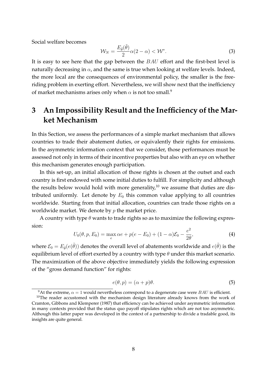Social welfare becomes

$$
\mathcal{W}_N = \frac{E_{\tilde{\theta}}(\tilde{\theta})}{2} \alpha (2 - \alpha) < \mathcal{W}^* \tag{3}
$$

It is easy to see here that the gap between the BAU effort and the first-best level is naturally decreasing in  $\alpha$ , and the same is true when looking at welfare levels. Indeed, the more local are the consequences of environmental policy, the smaller is the freeriding problem in exerting effort. Nevertheless, we will show next that the inefficiency of market mechanisms arises only when  $\alpha$  is not too small.<sup>9</sup>

## **3 An Impossibility Result and the Inefficiency of the Market Mechanism**

In this Section, we assess the performances of a simple market mechanism that allows countries to trade their abatement duties, or equivalently their rights for emissions. In the asymmetric information context that we consider, those performances must be assessed not only in terms of their incentive properties but also with an eye on whether this mechanism generates enough participation.

In this set-up, an initial allocation of those rights is chosen at the outset and each country is first endowed with some initial duties to fulfill. For simplicity and although the results below would hold with more generality,<sup>10</sup> we assume that duties are distributed uniformly. Let denote by  $E_0$  this common value applying to all countries worldwide. Starting from that initial allocation, countries can trade those rights on a worldwide market. We denote by  $p$  the market price.

A country with type  $\theta$  wants to trade rights so as to maximize the following expression:

$$
U_0(\theta, p, E_0) = \max_e \alpha e + p(e - E_0) + (1 - \alpha)\mathcal{E}_0 - \frac{e^2}{2\theta},
$$
\n(4)

where  $\mathcal{E}_0 = E_{\tilde{\theta}}(e(\tilde{\theta}))$  denotes the overall level of abatements worldwide and  $e(\tilde{\theta})$  is the equilibrium level of effort exerted by a country with type  $\theta$  under this market scenario. The maximization of the above objective immediately yields the following expression of the "gross demand function" for rights:

$$
e(\theta, p) = (\alpha + p)\theta.
$$
 (5)

<sup>&</sup>lt;sup>9</sup>At the extreme,  $\alpha = 1$  would nevertheless correspond to a degenerate case were *BAU* is efficient.

 $10$ The reader accustomed with the mechanism design literature already knows from the work of Cramton, Gibbons and Klemperer (1987) that efficiency can be achieved under asymmetric information in many contexts provided that the status quo payoff stipulates rights which are not too asymmetric. Although this latter paper was developed in the context of a partnership to divide a tradable good, its insights are quite general.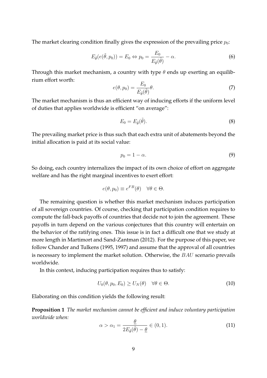The market clearing condition finally gives the expression of the prevailing price  $p_0$ :

$$
E_{\tilde{\theta}}(e(\tilde{\theta}, p_0)) = E_0 \Leftrightarrow p_0 = \frac{E_0}{E_{\tilde{\theta}}(\tilde{\theta})} - \alpha.
$$
 (6)

Through this market mechanism, a country with type  $\theta$  ends up exerting an equilibrium effort worth:

$$
e(\theta, p_0) = \frac{E_0}{E_{\tilde{\theta}}(\tilde{\theta})} \theta.
$$
\n(7)

The market mechanism is thus an efficient way of inducing efforts if the uniform level of duties that applies worldwide is efficient "on average":

$$
E_0 = E_{\tilde{\theta}}(\tilde{\theta}).\tag{8}
$$

The prevailing market price is thus such that each extra unit of abatements beyond the initial allocation is paid at its social value:

$$
p_0 = 1 - \alpha. \tag{9}
$$

So doing, each country internalizes the impact of its own choice of effort on aggregate welfare and has the right marginal incentives to exert effort:

$$
e(\theta, p_0) \equiv e^{FB}(\theta) \quad \forall \theta \in \Theta.
$$

The remaining question is whether this market mechanism induces participation of all sovereign countries. Of course, checking that participation condition requires to compute the fall-back payoffs of countries that decide not to join the agreement. These payoffs in turn depend on the various conjectures that this country will entertain on the behavior of the ratifying ones. This issue is in fact a difficult one that we study at more length in Martimort and Sand-Zantman (2012). For the purpose of this paper, we follow Chander and Tulkens (1995, 1997) and assume that the approval of all countries is necessary to implement the market solution. Otherwise, the BAU scenario prevails worldwide.

In this context, inducing participation requires thus to satisfy:

$$
U_0(\theta, p_0, E_0) \ge U_N(\theta) \quad \forall \theta \in \Theta.
$$
\n
$$
(10)
$$

Elaborating on this condition yields the following result:

**Proposition 1** *The market mechanism cannot be efficient and induce voluntary participation worldwide when:*

$$
\alpha > \alpha_1 = \frac{\theta}{2E_{\tilde{\theta}}(\tilde{\theta}) - \underline{\theta}} \in (0, 1). \tag{11}
$$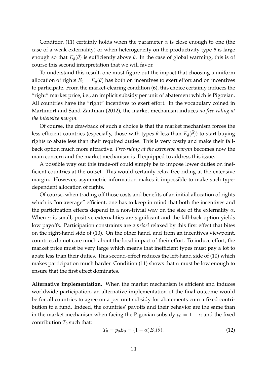Condition (11) certainly holds when the parameter  $\alpha$  is close enough to one (the case of a weak externality) or when heterogeneity on the productivity type  $\theta$  is large enough so that  $E_{\tilde{\theta}}(\tilde{\theta})$  is sufficiently above  $\underline{\theta}$ . In the case of global warming, this is of course this second interpretation that we will favor.

To understand this result, one must figure out the impact that choosing a uniform allocation of rights  $E_0 = E_{\tilde{\theta}}(\tilde{\theta})$  has both on incentives to exert effort and on incentives to participate. From the market-clearing condition (6), this choice certainly induces the "right" market price, i.e., an implicit subsidy per unit of abatement which is Pigovian. All countries have the "right" incentives to exert effort. In the vocabulary coined in Martimort and Sand-Zantman (2012), the market mechanism induces *no free-riding at the intensive margin.*

Of course, the drawback of such a choice is that the market mechanism forces the less efficient countries (especially, those with types  $\theta$  less than  $E_{\tilde{\theta}}(\tilde{\theta}))$  to start buying rights to abate less than their required duties. This is very costly and make their fallback option much more attractive. *Free-riding at the extensive margin* becomes now the main concern and the market mechanism is ill equipped to address this issue.

A possible way out this trade-off could simply be to impose lower duties on inefficient countries at the outset. This would certainly relax free riding at the extensive margin. However, asymmetric information makes it impossible to make such typedependent allocation of rights.

Of course, when trading off those costs and benefits of an initial allocation of rights which is "on average" efficient, one has to keep in mind that both the incentives and the participation effects depend in a non-trivial way on the size of the externality  $\alpha$ . When  $\alpha$  is small, positive externalities are significant and the fall-back option yields low payoffs. Participation constraints are *a priori* relaxed by this first effect that bites on the right-hand side of (10). On the other hand, and from an incentives viewpoint, countries do not care much about the local impact of their effort. To induce effort, the market price must be very large which means that inefficient types must pay a lot to abate less than their duties. This second-effect reduces the left-hand side of (10) which makes participation much harder. Condition (11) shows that  $\alpha$  must be low enough to ensure that the first effect dominates.

**Alternative implementation.** When the market mechanism is efficient and induces worldwide participation, an alternative implementation of the final outcome would be for all countries to agree on a per unit subsidy for abatements cum a fixed contribution to a fund. Indeed, the countries' payoffs and their behavior are the same than in the market mechanism when facing the Pigovian subsidy  $p_0 = 1 - \alpha$  and the fixed contribution  $T_0$  such that:

$$
T_0 = p_0 E_0 = (1 - \alpha) E_{\tilde{\theta}}(\tilde{\theta}).
$$
\n(12)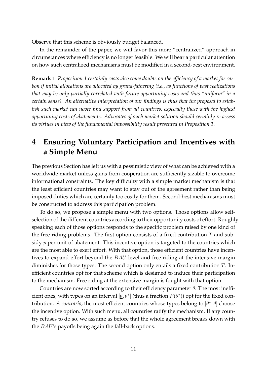Observe that this scheme is obviously budget balanced.

In the remainder of the paper, we will favor this more "centralized" approach in circumstances where efficiency is no longer feasible. We will bear a particular attention on how such centralized mechanisms must be modified in a second-best environment.

**Remark 1** *Proposition 1 certainly casts also some doubts on the efficiency of a market for carbon if initial allocations are allocated by grand-fathering (i.e., as functions of past realizations that may be only partially correlated with future opportunity costs and thus "uniform" in a certain sense). An alternative interpretation of our findings is thus that the proposal to establish such market can never find support from all countries, especially those with the highest opportunity costs of abatements. Advocates of such market solution should certainly re-assess its virtues in view of the fundamental impossibility result presented in Proposition 1.*

## **4 Ensuring Voluntary Participation and Incentives with a Simple Menu**

The previous Section has left us with a pessimistic view of what can be achieved with a worldwide market unless gains from cooperation are sufficiently sizable to overcome informational constraints. The key difficulty with a simple market mechanism is that the least efficient countries may want to stay out of the agreement rather than being imposed duties which are certainly too costly for them. Second-best mechanisms must be constructed to address this participation problem.

To do so, we propose a simple menu with two options. Those options allow selfselection of the different countries according to their opportunity costs of effort. Roughly speaking each of those options responds to the specific problem raised by one kind of the free-riding problems. The first option consists of a fixed contribution  $T$  and subsidy  $p$  per unit of abatement. This incentive option is targeted to the countries which are the most able to exert effort. With that option, those efficient countries have incentives to expand effort beyond the BAU level and free riding at the intensive margin diminishes for those types. The second option only entails a fixed contribution  $\underline{T}$ . Inefficient countries opt for that scheme which is designed to induce their participation to the mechanism. Free riding at the extensive margin is fought with that option.

Countries are now sorted according to their efficiency parameter  $\theta$ . The most inefficient ones, with types on an interval  $[\underline{\theta}, \theta^*]$  (thus a fraction  $F(\theta^*)$ ) opt for the fixed contribution. *A contrario,* the most efficient countries whose types belong to  $[\theta^*, \overline{\theta}]$  choose the incentive option. With such menu, all countries ratify the mechanism. If any country refuses to do so, we assume as before that the whole agreement breaks down with the BAU's payoffs being again the fall-back options.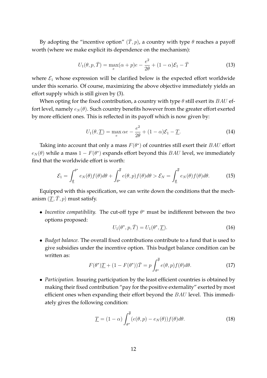By adopting the "incentive option"  $(\bar{T}, p)$ , a country with type  $\theta$  reaches a payoff worth (where we make explicit its dependence on the mechanism):

$$
U_1(\theta, p, \bar{T}) = \max_e(\alpha + p)e - \frac{e^2}{2\theta} + (1 - \alpha)\mathcal{E}_1 - \bar{T}
$$
\n(13)

where  $\mathcal{E}_1$  whose expression will be clarified below is the expected effort worldwide under this scenario. Of course, maximizing the above objective immediately yields an effort supply which is still given by (3).

When opting for the fixed contribution, a country with type  $\theta$  still exert its BAU effort level, namely  $e_N(\theta)$ . Such country benefits however from the greater effort exerted by more efficient ones. This is reflected in its payoff which is now given by:

$$
U_1(\theta, \underline{T}) = \max_e \alpha e - \frac{e^2}{2\theta} + (1 - \alpha)\mathcal{E}_1 - \underline{T}.
$$
 (14)

Taking into account that only a mass  $F(\theta^*)$  of countries still exert their  $BAU$  effort  $e_N(\theta)$  while a mass  $1 - F(\theta^*)$  expands effort beyond this  $BAU$  level, we immediately find that the worldwide effort is worth:

$$
\mathcal{E}_1 = \int_{\underline{\theta}}^{\theta^*} e_N(\theta) f(\theta) d\theta + \int_{\theta^*}^{\overline{\theta}} e(\theta, p) f(\theta) d\theta > \mathcal{E}_N = \int_{\underline{\theta}}^{\overline{\theta}} e_N(\theta) f(\theta) d\theta.
$$
 (15)

Equipped with this specification, we can write down the conditions that the mechanism  $(T, \overline{T}, p)$  must satisfy.

• *Incentive compatibility*. The cut-off type  $\theta^*$  must be indifferent between the two options proposed:

$$
U_1(\theta^*, p, \bar{T}) = U_1(\theta^*, \underline{T}). \tag{16}
$$

• *Budget balance.* The overall fixed contributions contribute to a fund that is used to give subsidies under the incentive option. This budget balance condition can be written as:

$$
F(\theta^*)\underline{T} + (1 - F(\theta^*))\overline{T} = p \int_{\theta^*}^{\overline{\theta}} e(\theta, p) f(\theta) d\theta.
$$
 (17)

• *Participation.* Insuring participation by the least efficient countries is obtained by making their fixed contribution "pay for the positive externality" exerted by most efficient ones when expanding their effort beyond the BAU level. This immediately gives the following condition:

$$
\underline{T} = (1 - \alpha) \int_{\theta^*}^{\overline{\theta}} (e(\theta, p) - e_N(\theta)) f(\theta) d\theta.
$$
 (18)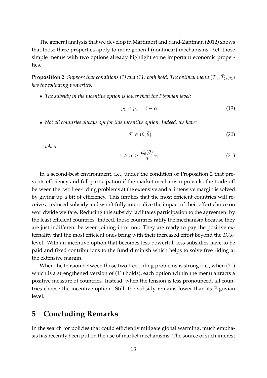The general analysis that we develop in Martimort and Sand-Zantman (2012) shows that those three properties apply to more general (nonlinear) mechanisms. Yet, those simple menus with two options already highlight some important economic properties.

**Proposition 2** Suppose that conditions (1) and (11) both hold. The optimal menu  $(\underline{T}_1, \overline{T}_1, p_1)$ *has the following properties.*

• *The subsidy in the incentive option is lower than the Pigovian level:*

$$
p_1 < p_0 = 1 - \alpha. \tag{19}
$$

• *Not all countries always opt for this incentive option. Indeed, we have:*

$$
\theta^* \in (\underline{\theta}, \overline{\theta}) \tag{20}
$$

*when*

$$
1 \ge \alpha \ge \frac{E_{\tilde{\theta}}(\tilde{\theta})}{\underline{\theta}} \alpha_1. \tag{21}
$$

In a second-best environment, i.e., under the condition of Proposition 2 that prevents efficiency and full participation if the market mechanism prevails, the trade-off between the two free-riding problems at the extensive and at intensive margin is solved by giving up a bit of efficiency. This implies that the most efficient countries will receive a reduced subsidy and won't fully internalize the impact of their effort choice on worldwide welfare. Reducing this subsidy facilitates participation to the agreement by the least efficient countries. Indeed, those countries ratify the mechanism because they are just indifferent between joining in or not. They are ready to pay the positive externality that the most efficient ones bring with their increased effort beyond the BAU level. With an incentive option that becomes less powerful, less subsidies have to be paid and fixed contributions to the fund diminish which helps to solve free riding at the extensive margin.

When the tension between those two free-riding problems is strong (i.e., when (21) which is a strengthened version of (11) holds), each option within the menu attracts a positive measure of countries. Instead, when the tension is less pronounced, all countries choose the incentive option. Still, the subsidy remains lower than its Pigovian level.

#### **5 Concluding Remarks**

In the search for policies that could efficiently mitigate global warming, much emphasis has recently been put on the use of market mechanisms. The source of such interest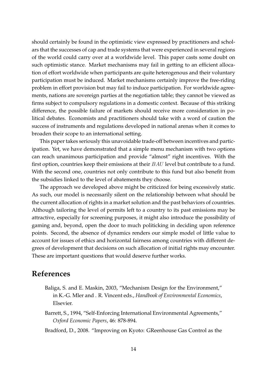should certainly be found in the optimistic view expressed by practitioners and scholars that the successes of cap and trade systems that were experienced in several regions of the world could carry over at a worldwide level. This paper casts some doubt on such optimistic stance. Market mechanisms may fail in getting to an efficient allocation of effort worldwide when participants are quite heterogenous and their voluntary participation must be induced. Market mechanisms certainly improve the free-riding problem in effort provision but may fail to induce participation. For worldwide agreements, nations are sovereign parties at the negotiation table; they cannot be viewed as firms subject to compulsory regulations in a domestic context. Because of this striking difference, the possible failure of markets should receive more consideration in political debates. Economists and practitioners should take with a word of caution the success of instruments and regulations developed in national arenas when it comes to broaden their scope to an international setting.

This paper takes seriously this unavoidable trade-off between incentives and participation. Yet, we have demonstrated that a simple menu mechanism with two options can reach unanimous participation and provide "almost" right incentives. With the first option, countries keep their emissions at their BAU level but contribute to a fund. With the second one, countries not only contribute to this fund but also benefit from the subsidies linked to the level of abatements they choose.

The approach we developed above might be criticized for being excessively static. As such, our model is necessarily silent on the relationship between what should be the current allocation of rights in a market solution and the past behaviors of countries. Although tailoring the level of permits left to a country to its past emissions may be attractive, especially for screening purposes, it might also introduce the possibility of gaming and, beyond, open the door to much politicking in deciding upon reference points. Second, the absence of dynamics renders our simple model of little value to account for issues of ethics and horizontal fairness among countries with different degrees of development that decisions on such allocation of initial rights may encounter. These are important questions that would deserve further works.

#### **References**

- Baliga, S. and E. Maskin, 2003, "Mechanism Design for the Environment," in K.-G. Mler and . R. Vincent eds., *Handbook of Environmental Economics*, Elsevier.
- Barrett, S., 1994, "Self-Enforcing International Environmental Agreements," *Oxford Economic Papers*, 46: 878-894.
- Bradford, D., 2008. "Improving on Kyoto: GReenhouse Gas Control as the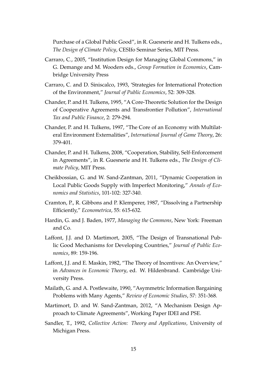Purchase of a Global Public Good", in R. Guesnerie and H. Tulkens eds., *The Design of Climate Policy*, CESIfo Seminar Series, MIT Press.

- Carraro, C., 2005, "Institution Design for Managing Global Commons," in G. Demange and M. Wooders eds., *Group Formation in Economics*, Cambridge University Press
- Carraro, C. and D. Siniscalco, 1993, 'Strategies for International Protection of the Environment," *Journal of Public Economics*, 52: 309-328.
- Chander, P. and H. Tulkens, 1995, "A Core-Theoretic Solution for the Design of Cooperative Agreements and Transfrontier Pollution", *International Tax and Public Finance*, 2: 279-294.
- Chander, P. and H. Tulkens, 1997, "The Core of an Economy with Multilateral Environment Externalities", *International Journal of Game Theory*, 26: 379-401.
- Chander, P. and H. Tulkens, 2008, "Cooperation, Stability, Self-Enforcement in Agreements", in R. Guesnerie and H. Tulkens eds., *The Design of Climate Policy*, MIT Press.
- Cheikbossian, G. and W. Sand-Zantman, 2011, "Dynamic Cooperation in Local Public Goods Supply with Imperfect Monitoring," *Annals of Economics and Statistics*, 101-102: 327-340.
- Cramton, P., R. Gibbons and P. Klemperer, 1987, "Dissolving a Partnership Efficiently," *Econometrica*, 55: 615-632.
- Hardin, G. and J. Baden, 1977, *Managing the Commons*, New York: Freeman and Co.
- Laffont, J.J. and D. Martimort, 2005, "The Design of Transnational Public Good Mechanisms for Developing Countries," *Journal of Public Economics*, 89: 159-196.
- Laffont, J.J. and E. Maskin, 1982, "The Theory of Incentives: An Overview," in *Advances in Economic Theory*, ed. W. Hildenbrand. Cambridge University Press.
- Mailath, G. and A. Postlewaite, 1990, "Asymmetric Information Bargaining Problems with Many Agents," *Review of Economic Studies*, 57: 351-368.
- Martimort, D. and W. Sand-Zantman, 2012, "A Mechanism Design Approach to Climate Agreements", Working Paper IDEI and PSE.
- Sandler, T., 1992, *Collective Action: Theory and Applications,* University of Michigan Press.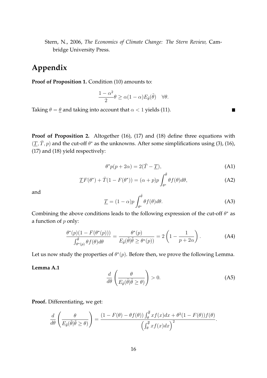Stern, N., 2006, *The Economics of Climate Change: The Stern Review,* Cambridge University Press.

## **Appendix**

**Proof of Proposition 1.** Condition (10) amounts to:

$$
\frac{1-\alpha^2}{2}\theta \ge \alpha(1-\alpha)E_{\tilde{\theta}}(\tilde{\theta}) \quad \forall \theta.
$$

Taking  $\theta = \underline{\theta}$  and taking into account that  $\alpha < 1$  yields (11).

**Proof of Proposition 2.** Altogether (16), (17) and (18) define three equations with  $(\underline{T}, \overline{T}, p)$  and the cut-off  $\theta^*$  as the unknowns. After some simplifications using (3), (16), (17) and (18) yield respectively:

$$
\theta^* p(p + 2\alpha) = 2(\bar{T} - \underline{T}), \tag{A1}
$$

 $\blacksquare$ 

$$
\underline{T}F(\theta^*) + \bar{T}(1 - F(\theta^*)) = (\alpha + p)p \int_{\theta^*}^{\bar{\theta}} \theta f(\theta) d\theta,
$$
 (A2)

and

$$
\underline{T} = (1 - \alpha)p \int_{\theta^*}^{\overline{\theta}} \theta f(\theta) d\theta.
$$
 (A3)

Combining the above conditions leads to the following expression of the cut-off  $\theta^*$  as a function of  $p$  only:

$$
\frac{\theta^*(p)(1 - F(\theta^*(p)))}{\int_{\theta^*(p)}^{\overline{\theta}} \theta f(\theta) d\theta} = \frac{\theta^*(p)}{E_{\tilde{\theta}}(\tilde{\theta}|\tilde{\theta} \ge \theta^*(p))} = 2\left(1 - \frac{1}{p + 2\alpha}\right). \tag{A4}
$$

Let us now study the properties of  $\theta^*(p)$ . Before then, we prove the following Lemma.

#### **Lemma A.1**

$$
\frac{d}{d\theta} \left( \frac{\theta}{E_{\tilde{\theta}}(\tilde{\theta}|\tilde{\theta} \ge \theta)} \right) > 0.
$$
\n(A5)

**Proof.** Differentiating, we get:

$$
\frac{d}{d\theta} \left( \frac{\theta}{E_{\tilde{\theta}}(\tilde{\theta}|\tilde{\theta} \ge \theta)} \right) = \frac{(1 - F(\theta) - \theta f(\theta)) \int_{\theta}^{\overline{\theta}} x f(x) dx + \theta^2 (1 - F(\theta)) f(\theta)}{\left( \int_{\theta}^{\overline{\theta}} x f(x) dx \right)^2}.
$$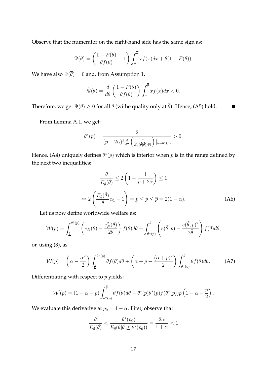Observe that the numerator on the right-hand side has the same sign as:

$$
\Psi(\theta) = \left(\frac{1 - F(\theta)}{\theta f(\theta)} - 1\right) \int_{\theta}^{\overline{\theta}} x f(x) dx + \theta (1 - F(\theta)).
$$

We have also  $\Psi(\overline{\theta}) = 0$  and, from Assumption 1,

$$
\dot{\Psi}(\theta) = \frac{d}{d\theta} \left( \frac{1 - F(\theta)}{\theta f(\theta)} \right) \int_{\theta}^{\overline{\theta}} x f(x) dx < 0.
$$

Therefore, we get  $\Psi(\theta) \ge 0$  for all  $\theta$  (withe quality only at  $\overline{\theta}$ ). Hence, (A5) hold.

From Lemma A.1, we get:

$$
\dot{\theta}^*(p) = \frac{2}{(p+2\alpha)^2 \frac{d}{d\theta} \left(\frac{\theta}{E_{\tilde{\theta}}(\tilde{\theta}|\tilde{\theta}\geq \theta)}\right)|_{\theta=\theta^*(p)}} > 0.
$$

Hence, (A4) uniquely defines  $\theta^*(p)$  which is interior when p is in the range defined by the next two inequalities:

$$
\frac{\underline{\theta}}{E_{\tilde{\theta}}(\tilde{\theta})} \le 2\left(1 - \frac{1}{p + 2\alpha}\right) \le 1
$$
\n
$$
\Leftrightarrow 2\left(\frac{E_{\tilde{\theta}}(\tilde{\theta})}{\underline{\theta}}\alpha_1 - 1\right) = \underline{p} \le p \le \overline{p} = 2(1 - \alpha). \tag{A6}
$$

 $\blacksquare$ 

Let us now define worldwide welfare as:

$$
\mathcal{W}(p) = \int_{\underline{\theta}}^{\theta^*(p)} \left( e_N(\theta) - \frac{e_N^2(\theta)}{2\theta} \right) f(\theta) d\theta + \int_{\theta^*(p)}^{\overline{\theta}} \left( e(\tilde{\theta}, p) - \frac{e(\tilde{\theta}, p)^2}{2\tilde{\theta}} \right) f(\theta) d\theta,
$$

or, using (3), as

$$
\mathcal{W}(p) = \left(\alpha - \frac{\alpha^2}{2}\right) \int_{\underline{\theta}}^{\theta^*(p)} \theta f(\theta) d\theta + \left(\alpha + p - \frac{(\alpha + p)^2}{2}\right) \int_{\theta^*(p)}^{\overline{\theta}} \theta f(\theta) d\theta. \tag{A7}
$$

Differentiating with respect to  $p$  yields:

$$
\mathcal{W}'(p) = (1 - \alpha - p) \int_{\theta^*(p)}^{\overline{\theta}} \theta f(\theta) d\theta - \dot{\theta}^*(p) \theta^*(p) f(\theta^*(p)) p\left(1 - \alpha - \frac{p}{2}\right).
$$

We evaluate this derivative at  $p_0 = 1 - \alpha$ . First, observe that

$$
\frac{\theta}{E_{\tilde{\theta}}(\tilde{\theta})} < \frac{\theta^*(p_0)}{E_{\tilde{\theta}}(\tilde{\theta}|\tilde{\theta} \ge \theta^*(p_0))} = \frac{2\alpha}{1+\alpha} < 1
$$